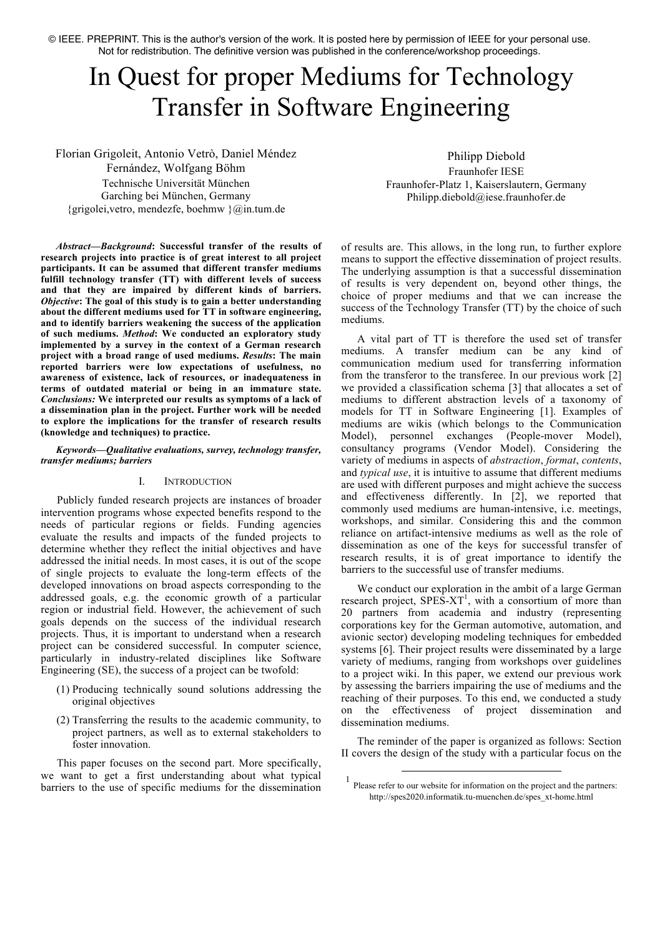© IEEE. PREPRINT. This is the author's version of the work. It is posted here by permission of IEEE for your personal use. Not for redistribution. The definitive version was published in the conference/workshop proceedings.

# In Quest for proper Mediums for Technology Transfer in Software Engineering

Florian Grigoleit, Antonio Vetrò, Daniel Méndez Fernández, Wolfgang Böhm Technische Universität München Garching bei München, Germany  ${grigolei, vetro, mendezfe, boehmw } @ain.tum.de$ 

Philipp Diebold Fraunhofer IESE Fraunhofer-Platz 1, Kaiserslautern, Germany Philipp.diebold@iese.fraunhofer.de

*Abstract***—***Background***: Successful transfer of the results of research projects into practice is of great interest to all project participants. It can be assumed that different transfer mediums fulfill technology transfer (TT) with different levels of success and that they are impaired by different kinds of barriers.**  *Objective***: The goal of this study is to gain a better understanding about the different mediums used for TT in software engineering, and to identify barriers weakening the success of the application of such mediums.** *Method***: We conducted an exploratory study implemented by a survey in the context of a German research project with a broad range of used mediums.** *Results***: The main reported barriers were low expectations of usefulness, no awareness of existence, lack of resources, or inadequateness in terms of outdated material or being in an immature state.** *Conclusions:* **We interpreted our results as symptoms of a lack of a dissemination plan in the project. Further work will be needed to explore the implications for the transfer of research results (knowledge and techniques) to practice.** 

*Keywords—Qualitative evaluations, survey, technology transfer, transfer mediums; barriers*

## I. INTRODUCTION

Publicly funded research projects are instances of broader intervention programs whose expected benefits respond to the needs of particular regions or fields. Funding agencies evaluate the results and impacts of the funded projects to determine whether they reflect the initial objectives and have addressed the initial needs. In most cases, it is out of the scope of single projects to evaluate the long-term effects of the developed innovations on broad aspects corresponding to the addressed goals, e.g. the economic growth of a particular region or industrial field. However, the achievement of such goals depends on the success of the individual research projects. Thus, it is important to understand when a research project can be considered successful. In computer science, particularly in industry-related disciplines like Software Engineering (SE), the success of a project can be twofold:

- (1) Producing technically sound solutions addressing the original objectives
- (2) Transferring the results to the academic community, to project partners, as well as to external stakeholders to foster innovation.

This paper focuses on the second part. More specifically, we want to get a first understanding about what typical barriers to the use of specific mediums for the dissemination of results are. This allows, in the long run, to further explore means to support the effective dissemination of project results. The underlying assumption is that a successful dissemination of results is very dependent on, beyond other things, the choice of proper mediums and that we can increase the success of the Technology Transfer (TT) by the choice of such mediums.

A vital part of TT is therefore the used set of transfer mediums. A transfer medium can be any kind of communication medium used for transferring information from the transferor to the transferee. In our previous work [2] we provided a classification schema [3] that allocates a set of mediums to different abstraction levels of a taxonomy of models for TT in Software Engineering [1]. Examples of mediums are wikis (which belongs to the Communication Model), personnel exchanges (People-mover Model), consultancy programs (Vendor Model). Considering the variety of mediums in aspects of *abstraction*, *format*, *contents*, and *typical use*, it is intuitive to assume that different mediums are used with different purposes and might achieve the success and effectiveness differently. In [2], we reported that commonly used mediums are human-intensive, i.e. meetings, workshops, and similar. Considering this and the common reliance on artifact-intensive mediums as well as the role of dissemination as one of the keys for successful transfer of research results, it is of great importance to identify the barriers to the successful use of transfer mediums.

We conduct our exploration in the ambit of a large German research project,  $SPES-XT<sup>1</sup>$ , with a consortium of more than 20 partners from academia and industry (representing corporations key for the German automotive, automation, and avionic sector) developing modeling techniques for embedded systems [6]. Their project results were disseminated by a large variety of mediums, ranging from workshops over guidelines to a project wiki. In this paper, we extend our previous work by assessing the barriers impairing the use of mediums and the reaching of their purposes. To this end, we conducted a study on the effectiveness of project dissemination and dissemination mediums.

The reminder of the paper is organized as follows: Section II covers the design of the study with a particular focus on the

 <sup>1</sup> Please refer to our website for information on the project and the partners: http://spes2020.informatik.tu-muenchen.de/spes\_xt-home.html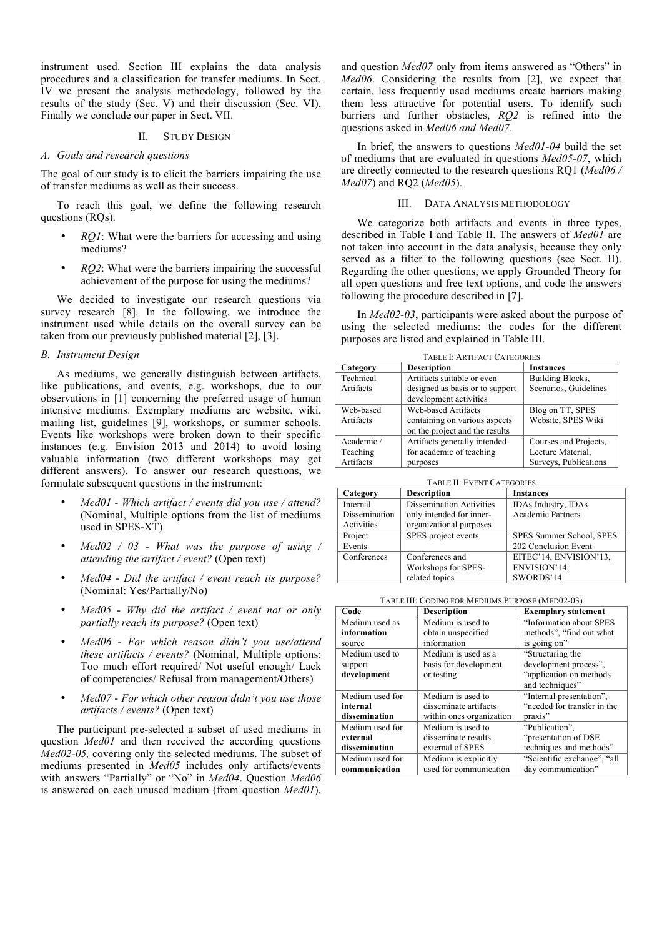instrument used. Section III explains the data analysis procedures and a classification for transfer mediums. In Sect. IV we present the analysis methodology, followed by the results of the study (Sec. V) and their discussion (Sec. VI). Finally we conclude our paper in Sect. VII.

#### II. STUDY DESIGN

## *A. Goals and research questions*

The goal of our study is to elicit the barriers impairing the use of transfer mediums as well as their success.

To reach this goal, we define the following research questions (RQs).

- *RQ1*: What were the barriers for accessing and using mediums?
- *RQ2*: What were the barriers impairing the successful achievement of the purpose for using the mediums?

We decided to investigate our research questions via survey research [8]. In the following, we introduce the instrument used while details on the overall survey can be taken from our previously published material [2], [3].

#### *B. Instrument Design*

As mediums, we generally distinguish between artifacts, like publications, and events, e.g. workshops, due to our observations in [1] concerning the preferred usage of human intensive mediums. Exemplary mediums are website, wiki, mailing list, guidelines [9], workshops, or summer schools. Events like workshops were broken down to their specific instances (e.g. Envision 2013 and 2014) to avoid losing valuable information (two different workshops may get different answers). To answer our research questions, we formulate subsequent questions in the instrument:

- *Med01 Which artifact / events did you use / attend?* (Nominal, Multiple options from the list of mediums used in SPES-XT)
- *Med02 / 03 What was the purpose of using / attending the artifact / event?* (Open text)
- *Med04 Did the artifact / event reach its purpose?* (Nominal: Yes/Partially/No)
- *Med05 Why did the artifact / event not or only partially reach its purpose?* (Open text)
- *Med06 For which reason didn't you use/attend these artifacts / events?* (Nominal, Multiple options: Too much effort required/ Not useful enough/ Lack of competencies/ Refusal from management/Others)
- *Med07 For which other reason didn't you use those artifacts / events?* (Open text)

The participant pre-selected a subset of used mediums in question *Med01* and then received the according questions *Med02-05,* covering only the selected mediums. The subset of mediums presented in *Med05* includes only artifacts/events with answers "Partially" or "No" in *Med04*. Question *Med06* is answered on each unused medium (from question *Med01*),

and question *Med07* only from items answered as "Others" in *Med06*. Considering the results from [2], we expect that certain, less frequently used mediums create barriers making them less attractive for potential users. To identify such barriers and further obstacles, *RQ2* is refined into the questions asked in *Med06 and Med07*.

In brief, the answers to questions *Med01*-*04* build the set of mediums that are evaluated in questions *Med05*-*07*, which are directly connected to the research questions RQ1 (*Med06 / Med07*) and RQ2 (*Med05*).

#### III. DATA ANALYSIS METHODOLOGY

We categorize both artifacts and events in three types, described in Table I and Table II. The answers of *Med01* are not taken into account in the data analysis, because they only served as a filter to the following questions (see Sect. II). Regarding the other questions, we apply Grounded Theory for all open questions and free text options, and code the answers following the procedure described in [7].

In *Med02-03*, participants were asked about the purpose of using the selected mediums: the codes for the different purposes are listed and explained in Table III.

TABLE I: ARTIFACT CATEGORIES

| Category   | <b>Description</b>              | <b>Instances</b>      |
|------------|---------------------------------|-----------------------|
| Technical  | Artifacts suitable or even      | Building Blocks,      |
| Artifacts  | designed as basis or to support | Scenarios, Guidelines |
|            | development activities          |                       |
| Web-based  | <b>Web-based Artifacts</b>      | Blog on TT, SPES      |
| Artifacts  | containing on various aspects   | Website, SPES Wiki    |
|            | on the project and the results  |                       |
| Academic / | Artifacts generally intended    | Courses and Projects, |
| Teaching   | for academic of teaching        | Lecture Material,     |
| Artifacts  | purposes                        | Surveys, Publications |

| <b>TABLE II: EVENT CATEGORIES</b> |                                 |                            |  |
|-----------------------------------|---------------------------------|----------------------------|--|
| <b>Description</b><br>Category    |                                 | <b>Instances</b>           |  |
| Internal                          | <b>Dissemination Activities</b> | <b>IDAs Industry, IDAs</b> |  |
| Dissemination                     | only intended for inner-        | <b>Academic Partners</b>   |  |
| Activities                        | organizational purposes         |                            |  |
| Project                           | SPES project events             | SPES Summer School, SPES   |  |
| Events                            |                                 | 202 Conclusion Event       |  |
| Conferences                       | Conferences and                 | EITEC'14, ENVISION'13,     |  |
|                                   | Workshops for SPES-             | ENVISION'14.               |  |
|                                   | related topics                  | SWORDS'14                  |  |

TABLE III: CODING FOR MEDIUMS PURPOSE (MED02-03)

| Code            | <b>Description</b>       | <b>Exemplary statement</b>  |
|-----------------|--------------------------|-----------------------------|
| Medium used as  | Medium is used to        | "Information about SPES     |
| information     | obtain unspecified       | methods", "find out what    |
| source          | information              | is going on"                |
| Medium used to  | Medium is used as a      | "Structuring the            |
| support         | basis for development    | development process",       |
| development     | or testing               | "application on methods"    |
|                 |                          | and techniques"             |
| Medium used for | Medium is used to        | "Internal presentation",    |
| internal        | disseminate artifacts    | "needed for transfer in the |
| dissemination   | within ones organization | praxis"                     |
| Medium used for | Medium is used to        | "Publication".              |
| external        | disseminate results      | "presentation of DSE        |
| dissemination   | external of SPES         | techniques and methods"     |
| Medium used for | Medium is explicitly     | "Scientific exchange", "all |
| communication   | used for communication   | day communication"          |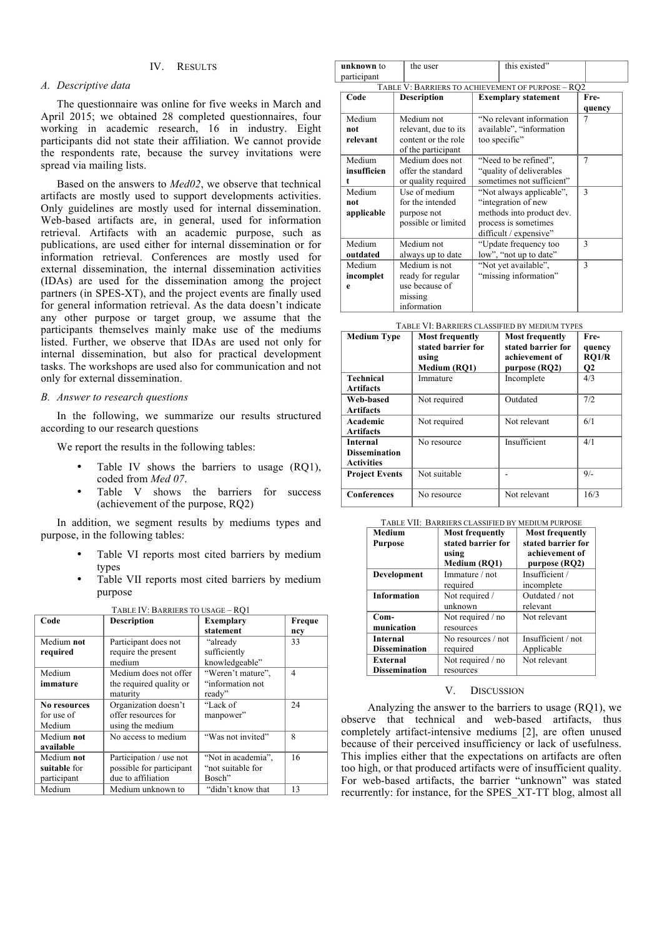## IV. RESULTS

## *A. Descriptive data*

The questionnaire was online for five weeks in March and April 2015; we obtained 28 completed questionnaires, four working in academic research, 16 in industry. Eight participants did not state their affiliation. We cannot provide the respondents rate, because the survey invitations were spread via mailing lists.

Based on the answers to *Med02*, we observe that technical artifacts are mostly used to support developments activities. Only guidelines are mostly used for internal dissemination. Web-based artifacts are, in general, used for information retrieval. Artifacts with an academic purpose, such as publications, are used either for internal dissemination or for information retrieval. Conferences are mostly used for external dissemination, the internal dissemination activities (IDAs) are used for the dissemination among the project partners (in SPES-XT), and the project events are finally used for general information retrieval. As the data doesn't indicate any other purpose or target group, we assume that the participants themselves mainly make use of the mediums listed. Further, we observe that IDAs are used not only for internal dissemination, but also for practical development tasks. The workshops are used also for communication and not only for external dissemination.

## *B. Answer to research questions*

In the following, we summarize our results structured according to our research questions

We report the results in the following tables:

- Table IV shows the barriers to usage (RQ1), coded from *Med 07*.
- Table V shows the barriers for success (achievement of the purpose, RQ2)

In addition, we segment results by mediums types and purpose, in the following tables:

- Table VI reports most cited barriers by medium types
- Table VII reports most cited barriers by medium purpose

| TABLE IV: BARRIERS TO USAGE - RO1 |                          |                    |        |
|-----------------------------------|--------------------------|--------------------|--------|
| Code                              | <b>Description</b>       | <b>Exemplary</b>   | Freque |
|                                   |                          | statement          | ncy    |
| Medium not                        | Participant does not     | "already           | 33     |
| required                          | require the present      | sufficiently       |        |
|                                   | medium                   | knowledgeable"     |        |
| Medium                            | Medium does not offer    | "Weren't mature".  | 4      |
| immature                          | the required quality or  | "information not   |        |
|                                   | maturity                 | ready"             |        |
| No resources                      | Organization doesn't     | "Lack of           | 24     |
| for use of                        | offer resources for      | manpower"          |        |
| Medium                            | using the medium         |                    |        |
| Medium not                        | No access to medium      | "Was not invited"  | 8      |
| available                         |                          |                    |        |
| Medium not                        | Participation / use not  | "Not in academia", | 16     |
| suitable for                      | possible for participant | "not suitable for  |        |
| participant                       | due to affiliation       | Bosch"             |        |
| Medium                            | Medium unknown to        | "didn't know that  | 13     |

| unknown to  | the user                         |                            | this existed"                                     |        |
|-------------|----------------------------------|----------------------------|---------------------------------------------------|--------|
| participant |                                  |                            |                                                   |        |
|             |                                  |                            | TABLE V: BARRIERS TO ACHIEVEMENT OF PURPOSE - RO2 |        |
| Code        | <b>Description</b>               | <b>Exemplary statement</b> |                                                   | Fre-   |
|             |                                  |                            |                                                   | quency |
| Medium      | Medium not                       |                            | "No relevant information"                         |        |
| $- - - 4$   | and markets of the contract form |                            |                                                   |        |

|             |                      |                           | ┱╾            |
|-------------|----------------------|---------------------------|---------------|
| Medium      | Medium not           | "No relevant information" |               |
| not         | relevant, due to its | available", "information  |               |
| relevant    | content or the role  | too specific"             |               |
|             | of the participant   |                           |               |
| Medium      | Medium does not      | "Need to be refined".     | 7             |
| insufficien | offer the standard   | "quality of deliverables" |               |
| t           | or quality required  | sometimes not sufficient" |               |
| Medium      | Use of medium        | "Not always applicable",  | $\mathcal{E}$ |
| not         | for the intended     | "integration of new       |               |
| applicable  | purpose not          | methods into product dev. |               |
|             | possible or limited  | process is sometimes      |               |
|             |                      | difficult / expensive"    |               |
| Medium      | Medium not           | "Update frequency too     | $\mathbf{3}$  |
| outdated    | always up to date    | low", "not up to date"    |               |
| Medium      | Medium is not        | "Not yet available".      | $\mathbf{3}$  |
| incomplet   | ready for regular    | "missing information"     |               |
| e           | use because of       |                           |               |
|             | missing              |                           |               |
|             | information          |                           |               |

| TABLE VI: BARRIERS CLASSIFIED BY MEDIUM TYPES |  |
|-----------------------------------------------|--|
|                                               |  |

| <b>Medium Type</b>                                    | <b>Most frequently</b><br>stated barrier for<br>using<br>Medium (RQ1) | <b>Most frequently</b><br>stated barrier for<br>achievement of<br>purpose (RQ2) | Fre-<br>quency<br>RO1/R<br>Q <sub>2</sub> |
|-------------------------------------------------------|-----------------------------------------------------------------------|---------------------------------------------------------------------------------|-------------------------------------------|
| <b>Technical</b><br>Artifacts                         | Immature                                                              | Incomplete                                                                      | 4/3                                       |
| Web-based<br>Artifacts                                | Not required                                                          | Outdated                                                                        | 7/2                                       |
| Academic<br>Artifacts                                 | Not required                                                          | Not relevant                                                                    | 6/1                                       |
| Internal<br><b>Dissemination</b><br><b>Activities</b> | No resource                                                           | Insufficient                                                                    | 4/1                                       |
| <b>Project Events</b>                                 | Not suitable                                                          |                                                                                 | $9/-$                                     |
| <b>Conferences</b>                                    | No resource                                                           | Not relevant                                                                    | 16/3                                      |

| TABLE VII: BARRIERS CLASSIFIED BY MEDIUM PURPOSE |  |  |  |  |
|--------------------------------------------------|--|--|--|--|
|--------------------------------------------------|--|--|--|--|

| Medium<br><b>Purpose</b> | <b>Most frequently</b><br>stated barrier for<br>using<br>Medium (RQ1) | <b>Most frequently</b><br>stated barrier for<br>achievement of<br>purpose (RQ2) |  |
|--------------------------|-----------------------------------------------------------------------|---------------------------------------------------------------------------------|--|
| Development              | Immature / not                                                        | Insufficient/                                                                   |  |
|                          | required                                                              | incomplete                                                                      |  |
| <b>Information</b>       | Not required /                                                        | Outdated / not                                                                  |  |
|                          | unknown                                                               | relevant                                                                        |  |
| $Com-$                   | Not required / no                                                     | Not relevant                                                                    |  |
| munication               | resources                                                             |                                                                                 |  |
| <b>Internal</b>          | No resources / not                                                    | Insufficient / not                                                              |  |
| <b>Dissemination</b>     | required                                                              | Applicable                                                                      |  |
| External                 | Not required / no                                                     | Not relevant                                                                    |  |
| <b>Dissemination</b>     | resources                                                             |                                                                                 |  |

## V. DISCUSSION

Analyzing the answer to the barriers to usage (RQ1), we observe that technical and web-based artifacts, thus completely artifact-intensive mediums [2], are often unused because of their perceived insufficiency or lack of usefulness. This implies either that the expectations on artifacts are often too high, or that produced artifacts were of insufficient quality. For web-based artifacts, the barrier "unknown" was stated recurrently: for instance, for the SPES\_XT-TT blog, almost all